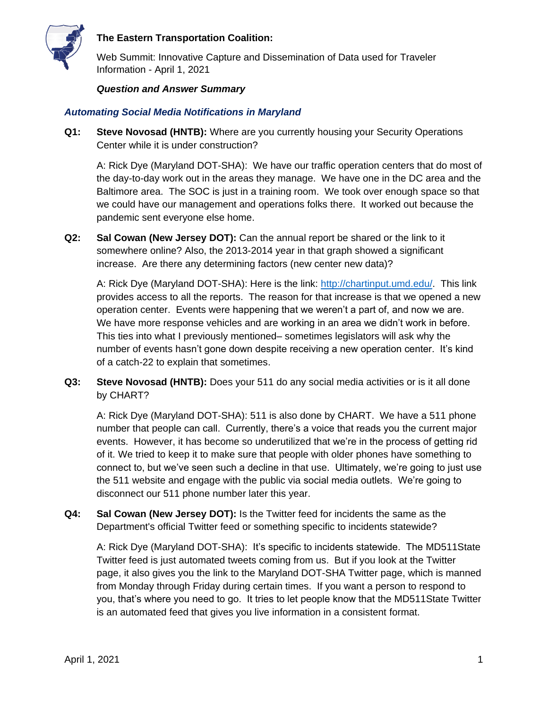

Web Summit: Innovative Capture and Dissemination of Data used for Traveler Information - April 1, 2021

# *Question and Answer Summary*

# *Automating Social Media Notifications in Maryland*

**Q1: Steve Novosad (HNTB):** Where are you currently housing your Security Operations Center while it is under construction?

A: Rick Dye (Maryland DOT-SHA): We have our traffic operation centers that do most of the day-to-day work out in the areas they manage. We have one in the DC area and the Baltimore area. The SOC is just in a training room. We took over enough space so that we could have our management and operations folks there. It worked out because the pandemic sent everyone else home.

**Q2: Sal Cowan (New Jersey DOT):** Can the annual report be shared or the link to it somewhere online? Also, the 2013-2014 year in that graph showed a significant increase. Are there any determining factors (new center new data)?

A: Rick Dye (Maryland DOT-SHA): Here is the link: [http://chartinput.umd.edu/.](http://chartinput.umd.edu/) This link provides access to all the reports. The reason for that increase is that we opened a new operation center. Events were happening that we weren't a part of, and now we are. We have more response vehicles and are working in an area we didn't work in before. This ties into what I previously mentioned– sometimes legislators will ask why the number of events hasn't gone down despite receiving a new operation center. It's kind of a catch-22 to explain that sometimes.

**Q3: Steve Novosad (HNTB):** Does your 511 do any social media activities or is it all done by CHART?

A: Rick Dye (Maryland DOT-SHA): 511 is also done by CHART. We have a 511 phone number that people can call. Currently, there's a voice that reads you the current major events. However, it has become so underutilized that we're in the process of getting rid of it. We tried to keep it to make sure that people with older phones have something to connect to, but we've seen such a decline in that use. Ultimately, we're going to just use the 511 website and engage with the public via social media outlets. We're going to disconnect our 511 phone number later this year.

**Q4: Sal Cowan (New Jersey DOT):** Is the Twitter feed for incidents the same as the Department's official Twitter feed or something specific to incidents statewide?

A: Rick Dye (Maryland DOT-SHA): It's specific to incidents statewide. The MD511State Twitter feed is just automated tweets coming from us. But if you look at the Twitter page, it also gives you the link to the Maryland DOT-SHA Twitter page, which is manned from Monday through Friday during certain times. If you want a person to respond to you, that's where you need to go. It tries to let people know that the MD511State Twitter is an automated feed that gives you live information in a consistent format.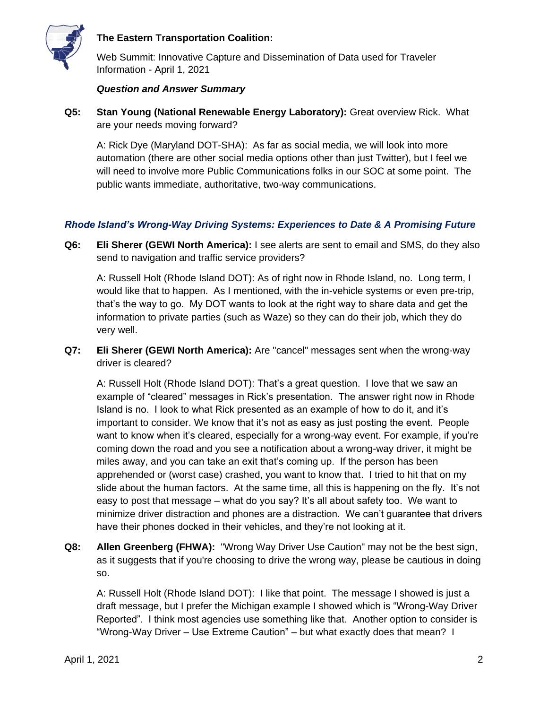

Web Summit: Innovative Capture and Dissemination of Data used for Traveler Information - April 1, 2021

#### *Question and Answer Summary*

**Q5: Stan Young (National Renewable Energy Laboratory):** Great overview Rick. What are your needs moving forward?

A: Rick Dye (Maryland DOT-SHA): As far as social media, we will look into more automation (there are other social media options other than just Twitter), but I feel we will need to involve more Public Communications folks in our SOC at some point. The public wants immediate, authoritative, two-way communications.

# *Rhode Island's Wrong-Way Driving Systems: Experiences to Date & A Promising Future*

**Q6: Eli Sherer (GEWI North America):** I see alerts are sent to email and SMS, do they also send to navigation and traffic service providers?

A: Russell Holt (Rhode Island DOT): As of right now in Rhode Island, no. Long term, I would like that to happen. As I mentioned, with the in-vehicle systems or even pre-trip, that's the way to go. My DOT wants to look at the right way to share data and get the information to private parties (such as Waze) so they can do their job, which they do very well.

**Q7: Eli Sherer (GEWI North America):** Are "cancel" messages sent when the wrong-way driver is cleared?

A: Russell Holt (Rhode Island DOT): That's a great question. I love that we saw an example of "cleared" messages in Rick's presentation. The answer right now in Rhode Island is no. I look to what Rick presented as an example of how to do it, and it's important to consider. We know that it's not as easy as just posting the event. People want to know when it's cleared, especially for a wrong-way event. For example, if you're coming down the road and you see a notification about a wrong-way driver, it might be miles away, and you can take an exit that's coming up. If the person has been apprehended or (worst case) crashed, you want to know that. I tried to hit that on my slide about the human factors. At the same time, all this is happening on the fly. It's not easy to post that message – what do you say? It's all about safety too. We want to minimize driver distraction and phones are a distraction. We can't guarantee that drivers have their phones docked in their vehicles, and they're not looking at it.

**Q8: Allen Greenberg (FHWA):** "Wrong Way Driver Use Caution" may not be the best sign, as it suggests that if you're choosing to drive the wrong way, please be cautious in doing so.

A: Russell Holt (Rhode Island DOT): I like that point. The message I showed is just a draft message, but I prefer the Michigan example I showed which is "Wrong-Way Driver Reported". I think most agencies use something like that. Another option to consider is "Wrong-Way Driver – Use Extreme Caution" – but what exactly does that mean? I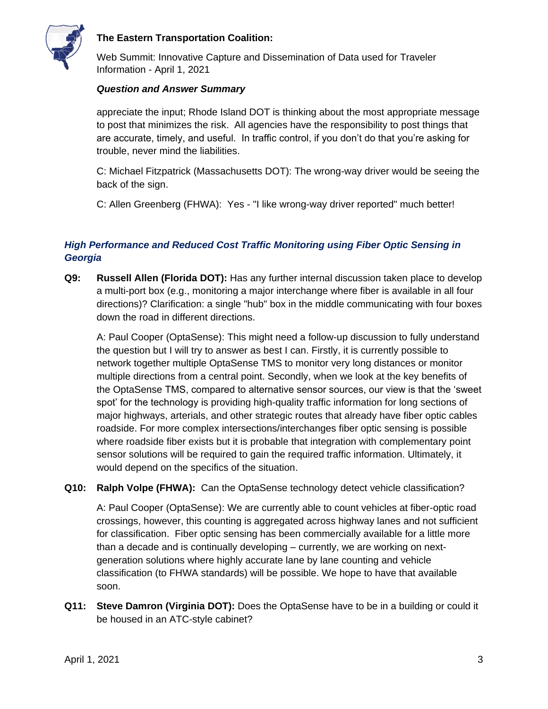

Web Summit: Innovative Capture and Dissemination of Data used for Traveler Information - April 1, 2021

#### *Question and Answer Summary*

appreciate the input; Rhode Island DOT is thinking about the most appropriate message to post that minimizes the risk. All agencies have the responsibility to post things that are accurate, timely, and useful. In traffic control, if you don't do that you're asking for trouble, never mind the liabilities.

C: Michael Fitzpatrick (Massachusetts DOT): The wrong-way driver would be seeing the back of the sign.

C: Allen Greenberg (FHWA): Yes - "I like wrong-way driver reported" much better!

# *High Performance and Reduced Cost Traffic Monitoring using Fiber Optic Sensing in Georgia*

**Q9: Russell Allen (Florida DOT):** Has any further internal discussion taken place to develop a multi-port box (e.g., monitoring a major interchange where fiber is available in all four directions)? Clarification: a single "hub" box in the middle communicating with four boxes down the road in different directions.

A: Paul Cooper (OptaSense): This might need a follow-up discussion to fully understand the question but I will try to answer as best I can. Firstly, it is currently possible to network together multiple OptaSense TMS to monitor very long distances or monitor multiple directions from a central point. Secondly, when we look at the key benefits of the OptaSense TMS, compared to alternative sensor sources, our view is that the 'sweet spot' for the technology is providing high-quality traffic information for long sections of major highways, arterials, and other strategic routes that already have fiber optic cables roadside. For more complex intersections/interchanges fiber optic sensing is possible where roadside fiber exists but it is probable that integration with complementary point sensor solutions will be required to gain the required traffic information. Ultimately, it would depend on the specifics of the situation.

## **Q10: Ralph Volpe (FHWA):** Can the OptaSense technology detect vehicle classification?

A: Paul Cooper (OptaSense): We are currently able to count vehicles at fiber-optic road crossings, however, this counting is aggregated across highway lanes and not sufficient for classification. Fiber optic sensing has been commercially available for a little more than a decade and is continually developing – currently, we are working on nextgeneration solutions where highly accurate lane by lane counting and vehicle classification (to FHWA standards) will be possible. We hope to have that available soon.

**Q11: Steve Damron (Virginia DOT):** Does the OptaSense have to be in a building or could it be housed in an ATC-style cabinet?